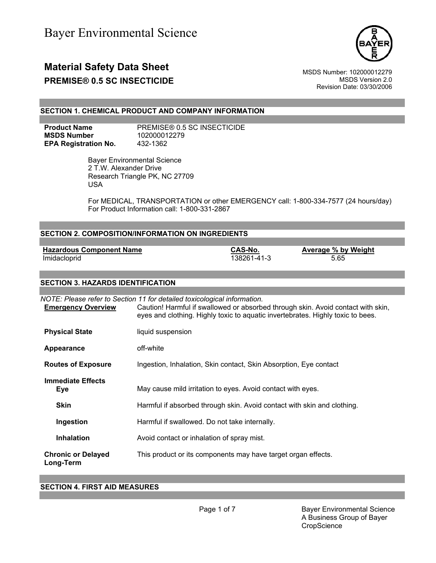

# **Material Safety Data Sheet**<br>MSDS Number: 102000012279<br>MSDS Version 2.0

**PREMISE® 0.5 SC INSECTICIDE** 

Revision Date: 03/30/2006

### **SECTION 1. CHEMICAL PRODUCT AND COMPANY INFORMATION**

**MSDS Number** 102000012279 **EPA Registration No.** 432-1362

**Product Name** PREMISE® 0.5 SC INSECTICIDE

 Bayer Environmental Science 2 T.W. Alexander Drive Research Triangle PK, NC 27709 USA

For MEDICAL, TRANSPORTATION or other EMERGENCY call: 1-800-334-7577 (24 hours/day) For Product Information call: 1-800-331-2867

| <b>SECTION 2. COMPOSITION/INFORMATION ON INGREDIENTS</b> |                                                                                                                                                                                                                                                 |                        |                             |
|----------------------------------------------------------|-------------------------------------------------------------------------------------------------------------------------------------------------------------------------------------------------------------------------------------------------|------------------------|-----------------------------|
|                                                          |                                                                                                                                                                                                                                                 |                        |                             |
| <b>Hazardous Component Name</b><br>Imidacloprid          |                                                                                                                                                                                                                                                 | CAS-No.<br>138261-41-3 | Average % by Weight<br>5.65 |
| <b>SECTION 3. HAZARDS IDENTIFICATION</b>                 |                                                                                                                                                                                                                                                 |                        |                             |
| <b>Emergency Overview</b>                                | NOTE: Please refer to Section 11 for detailed toxicological information.<br>Caution! Harmful if swallowed or absorbed through skin. Avoid contact with skin,<br>eyes and clothing. Highly toxic to aquatic invertebrates. Highly toxic to bees. |                        |                             |
| <b>Physical State</b>                                    | liquid suspension                                                                                                                                                                                                                               |                        |                             |
| Appearance                                               | off-white                                                                                                                                                                                                                                       |                        |                             |

**Routes of Exposure** Ingestion, Inhalation, Skin contact, Skin Absorption, Eye contact

**Eye** May cause mild irritation to eyes. Avoid contact with eyes.

**Skin** Harmful if absorbed through skin. Avoid contact with skin and clothing.

**Ingestion** Harmful if swallowed. Do not take internally.

**Inhalation Avoid contact or inhalation of spray mist.** 

**Chronic or Delayed**  This product or its components may have target organ effects.

**Long-Term**

**Immediate Effects** 

### **SECTION 4. FIRST AID MEASURES**

Page 1 of 7 Bayer Environmental Science A Business Group of Bayer **CropScience**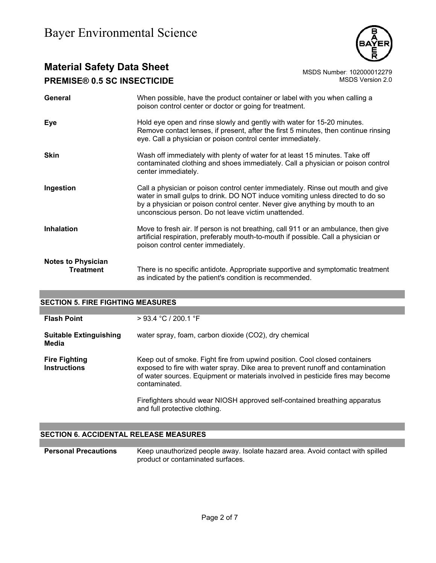

# **Material Safety Data Sheet**<br>**PREMISE® 0 5 SC INSECTICIDE** MSDS Number: 102000012279 **PREMISE® 0.5 SC INSECTICIDE**

| General                                       | When possible, have the product container or label with you when calling a<br>poison control center or doctor or going for treatment.                                                                                                                                                                   |
|-----------------------------------------------|---------------------------------------------------------------------------------------------------------------------------------------------------------------------------------------------------------------------------------------------------------------------------------------------------------|
| Eye                                           | Hold eye open and rinse slowly and gently with water for 15-20 minutes.<br>Remove contact lenses, if present, after the first 5 minutes, then continue rinsing<br>eye. Call a physician or poison control center immediately.                                                                           |
| <b>Skin</b>                                   | Wash off immediately with plenty of water for at least 15 minutes. Take off<br>contaminated clothing and shoes immediately. Call a physician or poison control<br>center immediately.                                                                                                                   |
| Ingestion                                     | Call a physician or poison control center immediately. Rinse out mouth and give<br>water in small gulps to drink. DO NOT induce vomiting unless directed to do so<br>by a physician or poison control center. Never give anything by mouth to an<br>unconscious person. Do not leave victim unattended. |
| <b>Inhalation</b>                             | Move to fresh air. If person is not breathing, call 911 or an ambulance, then give<br>artificial respiration, preferably mouth-to-mouth if possible. Call a physician or<br>poison control center immediately.                                                                                          |
| <b>Notes to Physician</b><br><b>Treatment</b> | There is no specific antidote. Appropriate supportive and symptomatic treatment<br>as indicated by the patient's condition is recommended.                                                                                                                                                              |

### **SECTION 5. FIRE FIGHTING MEASURES**

| $>$ 93.4 °C / 200.1 °F                                                                                                                                                                                                                                                                                                                                                           |
|----------------------------------------------------------------------------------------------------------------------------------------------------------------------------------------------------------------------------------------------------------------------------------------------------------------------------------------------------------------------------------|
| water spray, foam, carbon dioxide (CO2), dry chemical                                                                                                                                                                                                                                                                                                                            |
| Keep out of smoke. Fight fire from upwind position. Cool closed containers<br>exposed to fire with water spray. Dike area to prevent runoff and contamination<br>of water sources. Equipment or materials involved in pesticide fires may become<br>contaminated.<br>Firefighters should wear NIOSH approved self-contained breathing apparatus<br>and full protective clothing. |
|                                                                                                                                                                                                                                                                                                                                                                                  |

### **SECTION 6. ACCIDENTAL RELEASE MEASURES**

**Personal Precautions** Keep unauthorized people away. Isolate hazard area. Avoid contact with spilled product or contaminated surfaces.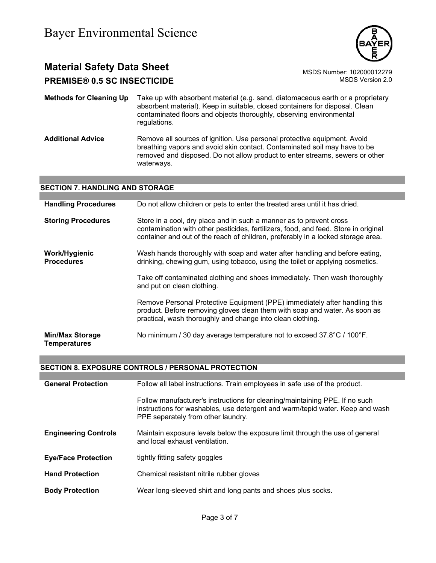

# **Material Safety Data Sheet** Material Safety Data Sheet MSDS Number: 102000012279

**PREMISE® 0.5 SC INSECTICIDE MSDS** Version 2.0

**Methods for Cleaning Up** Take up with absorbent material (e.g. sand, diatomaceous earth or a proprietary absorbent material). Keep in suitable, closed containers for disposal. Clean contaminated floors and objects thoroughly, observing environmental regulations.

**Additional Advice** Remove all sources of ignition. Use personal protective equipment. Avoid breathing vapors and avoid skin contact. Contaminated soil may have to be removed and disposed. Do not allow product to enter streams, sewers or other waterways.

### **SECTION 7. HANDLING AND STORAGE**

| <b>Handling Procedures</b>                    | Do not allow children or pets to enter the treated area until it has dried.                                                                                                                                                                    |
|-----------------------------------------------|------------------------------------------------------------------------------------------------------------------------------------------------------------------------------------------------------------------------------------------------|
| <b>Storing Procedures</b>                     | Store in a cool, dry place and in such a manner as to prevent cross<br>contamination with other pesticides, fertilizers, food, and feed. Store in original<br>container and out of the reach of children, preferably in a locked storage area. |
| Work/Hygienic<br><b>Procedures</b>            | Wash hands thoroughly with soap and water after handling and before eating,<br>drinking, chewing gum, using tobacco, using the toilet or applying cosmetics.                                                                                   |
|                                               | Take off contaminated clothing and shoes immediately. Then wash thoroughly<br>and put on clean clothing.                                                                                                                                       |
|                                               | Remove Personal Protective Equipment (PPE) immediately after handling this<br>product. Before removing gloves clean them with soap and water. As soon as<br>practical, wash thoroughly and change into clean clothing.                         |
| <b>Min/Max Storage</b><br><b>Temperatures</b> | No minimum / 30 day average temperature not to exceed 37.8°C / 100°F.                                                                                                                                                                          |

### **SECTION 8. EXPOSURE CONTROLS / PERSONAL PROTECTION**

| <b>General Protection</b>   | Follow all label instructions. Train employees in safe use of the product.                                                                                                                         |
|-----------------------------|----------------------------------------------------------------------------------------------------------------------------------------------------------------------------------------------------|
|                             | Follow manufacturer's instructions for cleaning/maintaining PPE. If no such<br>instructions for washables, use detergent and warm/tepid water. Keep and wash<br>PPE separately from other laundry. |
| <b>Engineering Controls</b> | Maintain exposure levels below the exposure limit through the use of general<br>and local exhaust ventilation.                                                                                     |
| <b>Eye/Face Protection</b>  | tightly fitting safety goggles                                                                                                                                                                     |
| <b>Hand Protection</b>      | Chemical resistant nitrile rubber gloves                                                                                                                                                           |
| <b>Body Protection</b>      | Wear long-sleeved shirt and long pants and shoes plus socks.                                                                                                                                       |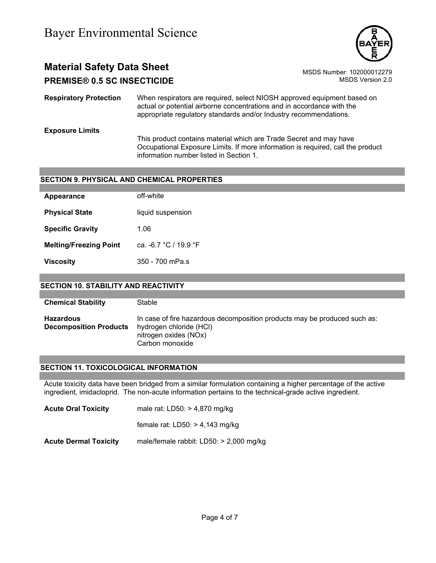

# **Material Safety Data Sheet** Material Safety Data Sheet<br>102000012279 MSDS Number: 102000012279<br>1.0.0 MSDS Version 2.0 **PREMISE® 0.5 SC INSECTICIDE**

**Respiratory Protection** When respirators are required, select NIOSH approved equipment based on actual or potential airborne concentrations and in accordance with the appropriate regulatory standards and/or Industry recommendations.

**Exposure Limits**

This product contains material which are Trade Secret and may have Occupational Exposure Limits. If more information is required, call the product information number listed in Section 1.

### **SECTION 9. PHYSICAL AND CHEMICAL PROPERTIES**

| Appearance                    | off-white             |
|-------------------------------|-----------------------|
| <b>Physical State</b>         | liquid suspension     |
| <b>Specific Gravity</b>       | 1.06                  |
| <b>Melting/Freezing Point</b> | ca. -6.7 °C / 19.9 °F |
| <b>Viscosity</b>              | 350 - 700 mPa.s       |
|                               |                       |

### **SECTION 10. STABILITY AND REACTIVITY**

**Chemical Stability** Stable

**Hazardous Decomposition Products**  In case of fire hazardous decomposition products may be produced such as: hydrogen chloride (HCl) nitrogen oxides (NOx) Carbon monoxide

### **SECTION 11. TOXICOLOGICAL INFORMATION**

Acute toxicity data have been bridged from a similar formulation containing a higher percentage of the active ingredient, imidacloprid. The non-acute information pertains to the technical-grade active ingredient.

**Acute Oral Toxicity** male rat: LD50: > 4,870 mg/kg

female rat: LD50: > 4,143 mg/kg

**Acute Dermal Toxicity** male/female rabbit: LD50: > 2,000 mg/kg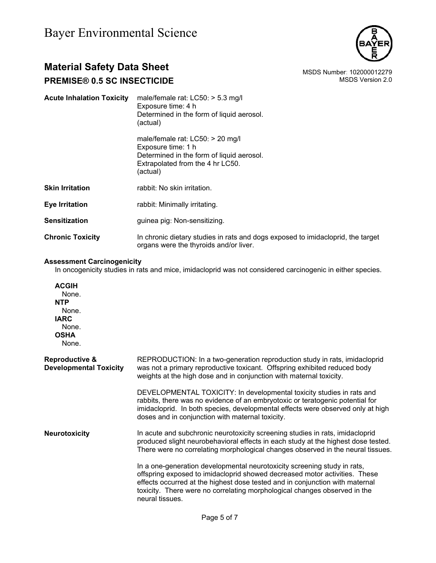

# **Material Safety Data Sheet**<br>**PREMISE® 0 5 SC INSECTICIDE** MSDS Number: 102000012279

# **PREMISE® 0.5 SC INSECTICIDE**

| <b>Acute Inhalation Toxicity</b> | male/female rat: $LCS0:$ > 5.3 mg/l<br>Exposure time: 4 h<br>Determined in the form of liquid aerosol.<br>(actual)                                    |
|----------------------------------|-------------------------------------------------------------------------------------------------------------------------------------------------------|
|                                  | male/female rat: $LCS0:$ > 20 mg/l<br>Exposure time: 1 h<br>Determined in the form of liquid aerosol.<br>Extrapolated from the 4 hr LC50.<br>(actual) |
| <b>Skin Irritation</b>           | rabbit: No skin irritation.                                                                                                                           |
| <b>Eye Irritation</b>            | rabbit: Minimally irritating.                                                                                                                         |
| <b>Sensitization</b>             | guinea pig: Non-sensitizing.                                                                                                                          |
| <b>Chronic Toxicity</b>          | In chronic dietary studies in rats and dogs exposed to imidacloprid, the target<br>organs were the thyroids and/or liver.                             |

### **Assessment Carcinogenicity**

In oncogenicity studies in rats and mice, imidacloprid was not considered carcinogenic in either species.

**ACGIH** None. **NTP** None. **IARC** None. **OSHA** None.

| <b>Reproductive &amp;</b><br><b>Developmental Toxicity</b> | REPRODUCTION: In a two-generation reproduction study in rats, imidacloprid<br>was not a primary reproductive toxicant. Offspring exhibited reduced body<br>weights at the high dose and in conjunction with maternal toxicity.                                                                                                         |
|------------------------------------------------------------|----------------------------------------------------------------------------------------------------------------------------------------------------------------------------------------------------------------------------------------------------------------------------------------------------------------------------------------|
|                                                            | DEVELOPMENTAL TOXICITY: In developmental toxicity studies in rats and<br>rabbits, there was no evidence of an embryotoxic or teratogenic potential for<br>imidacloprid. In both species, developmental effects were observed only at high<br>doses and in conjunction with maternal toxicity.                                          |
| <b>Neurotoxicity</b>                                       | In acute and subchronic neurotoxicity screening studies in rats, imidacloprid<br>produced slight neurobehavioral effects in each study at the highest dose tested.<br>There were no correlating morphological changes observed in the neural tissues.                                                                                  |
|                                                            | In a one-generation developmental neurotoxicity screening study in rats,<br>offspring exposed to imidacloprid showed decreased motor activities. These<br>effects occurred at the highest dose tested and in conjunction with maternal<br>toxicity. There were no correlating morphological changes observed in the<br>neural tissues. |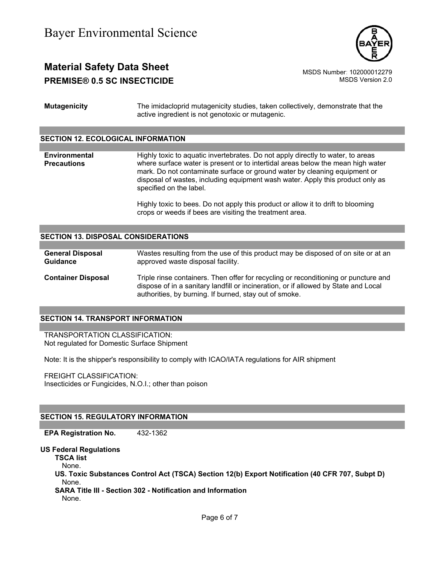

# **Material Safety Data Sheet** Material Safety Data Sheet MSDS Number: 102000012279 **PREMISE® 0.5 SC INSECTICIDE MSDS** Version 2.0

**Mutagenicity** The imidacloprid mutagenicity studies, taken collectively, demonstrate that the active ingredient is not genotoxic or mutagenic.

### **SECTION 12. ECOLOGICAL INFORMATION**

**Environmental Precautions**  Highly toxic to aquatic invertebrates. Do not apply directly to water, to areas where surface water is present or to intertidal areas below the mean high water mark. Do not contaminate surface or ground water by cleaning equipment or disposal of wastes, including equipment wash water. Apply this product only as specified on the label.

> Highly toxic to bees. Do not apply this product or allow it to drift to blooming crops or weeds if bees are visiting the treatment area.

#### **SECTION 13. DISPOSAL CONSIDERATIONS**

**General Disposal Guidance** Wastes resulting from the use of this product may be disposed of on site or at an approved waste disposal facility.

**Container Disposal** Triple rinse containers. Then offer for recycling or reconditioning or puncture and dispose of in a sanitary landfill or incineration, or if allowed by State and Local authorities, by burning. If burned, stay out of smoke.

#### **SECTION 14. TRANSPORT INFORMATION**

TRANSPORTATION CLASSIFICATION: Not regulated for Domestic Surface Shipment

Note: It is the shipper's responsibility to comply with ICAO/IATA regulations for AIR shipment

FREIGHT CLASSIFICATION: Insecticides or Fungicides, N.O.I.; other than poison

#### **SECTION 15. REGULATORY INFORMATION**

**EPA Registration No.** 432-1362

#### **US Federal Regulations**

**TSCA list**

None.

**US. Toxic Substances Control Act (TSCA) Section 12(b) Export Notification (40 CFR 707, Subpt D)** None.

**SARA Title III - Section 302 - Notification and Information**

None.